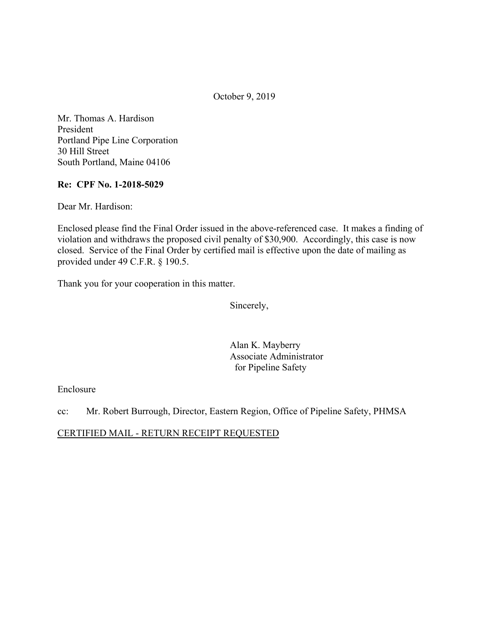October 9, 2019

Mr. Thomas A. Hardison President Portland Pipe Line Corporation 30 Hill Street South Portland, Maine 04106

## **Re: CPF No. 1-2018-5029**

Dear Mr. Hardison:

Enclosed please find the Final Order issued in the above-referenced case. It makes a finding of violation and withdraws the proposed civil penalty of \$30,900. Accordingly, this case is now closed. Service of the Final Order by certified mail is effective upon the date of mailing as provided under 49 C.F.R. § 190.5.

Thank you for your cooperation in this matter.

Sincerely,

Alan K. Mayberry Associate Administrator for Pipeline Safety

#### Enclosure

cc: Mr. Robert Burrough, Director, Eastern Region, Office of Pipeline Safety, PHMSA

#### CERTIFIED MAIL - RETURN RECEIPT REQUESTED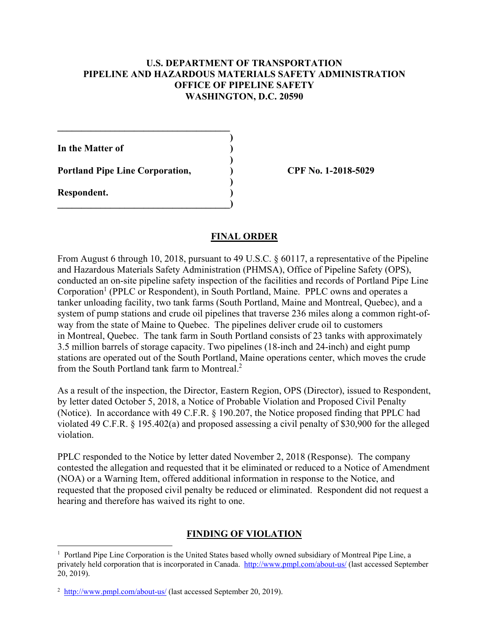### **U.S. DEPARTMENT OF TRANSPORTATION PIPELINE AND HAZARDOUS MATERIALS SAFETY ADMINISTRATION OFFICE OF PIPELINE SAFETY WASHINGTON, D.C. 20590**

**)** 

**)** 

**In the Matter of )** 

Portland Pipe Line Corporation,  $\qquad \qquad$  (PF No. 1-2018-5029)

**\_\_\_\_\_\_\_\_\_\_\_\_\_\_\_\_\_\_\_\_\_\_\_\_\_\_\_\_\_\_\_\_\_\_\_\_** 

 **)** 

 $\overline{\phantom{a}}$ 

**Respondent. )** 

<u>.</u>

## **FINAL ORDER**

From August 6 through 10, 2018, pursuant to 49 U.S.C. § 60117, a representative of the Pipeline and Hazardous Materials Safety Administration (PHMSA), Office of Pipeline Safety (OPS), conducted an on-site pipeline safety inspection of the facilities and records of Portland Pipe Line Corporation<sup>1</sup> (PPLC or Respondent), in South Portland, Maine. PPLC owns and operates a tanker unloading facility, two tank farms (South Portland, Maine and Montreal, Quebec), and a system of pump stations and crude oil pipelines that traverse 236 miles along a common right-ofway from the state of Maine to Quebec. The pipelines deliver crude oil to customers in Montreal, Quebec. The tank farm in South Portland consists of 23 tanks with approximately 3.5 million barrels of storage capacity. Two pipelines (18-inch and 24-inch) and eight pump stations are operated out of the South Portland, Maine operations center, which moves the crude from the South Portland tank farm to Montreal.2

As a result of the inspection, the Director, Eastern Region, OPS (Director), issued to Respondent, by letter dated October 5, 2018, a Notice of Probable Violation and Proposed Civil Penalty (Notice). In accordance with 49 C.F.R. § 190.207, the Notice proposed finding that PPLC had violated 49 C.F.R. § 195.402(a) and proposed assessing a civil penalty of \$30,900 for the alleged violation.

PPLC responded to the Notice by letter dated November 2, 2018 (Response). The company contested the allegation and requested that it be eliminated or reduced to a Notice of Amendment (NOA) or a Warning Item, offered additional information in response to the Notice, and requested that the proposed civil penalty be reduced or eliminated. Respondent did not request a hearing and therefore has waived its right to one.

## **FINDING OF VIOLATION**

<sup>&</sup>lt;sup>1</sup> Portland Pipe Line Corporation is the United States based wholly owned subsidiary of Montreal Pipe Line, a privately held corporation that is incorporated in Canada. <http://www.pmpl.com/about-us>/ (last accessed September 20, 2019).

 $2 \frac{\text{http://www.pmpl.com/about-us/}}{\text{http://www.pmpl.com/about-us/}}$  $2 \frac{\text{http://www.pmpl.com/about-us/}}{\text{http://www.pmpl.com/about-us/}}$  $2 \frac{\text{http://www.pmpl.com/about-us/}}{\text{http://www.pmpl.com/about-us/}}$  (last accessed September 20, 2019).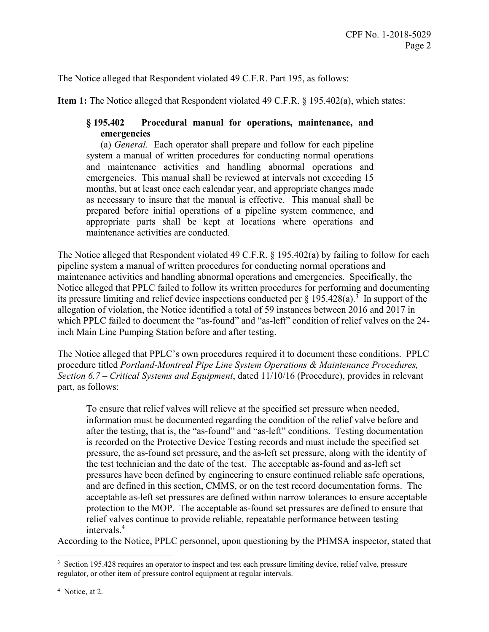The Notice alleged that Respondent violated 49 C.F.R. Part 195, as follows:

**Item 1:** The Notice alleged that Respondent violated 49 C.F.R. § 195.402(a), which states:

# **§ 195.402 Procedural manual for operations, maintenance, and emergencies**

(a) *General*. Each operator shall prepare and follow for each pipeline system a manual of written procedures for conducting normal operations and maintenance activities and handling abnormal operations and emergencies. This manual shall be reviewed at intervals not exceeding 15 months, but at least once each calendar year, and appropriate changes made as necessary to insure that the manual is effective. This manual shall be prepared before initial operations of a pipeline system commence, and appropriate parts shall be kept at locations where operations and maintenance activities are conducted.

The Notice alleged that Respondent violated 49 C.F.R. § 195.402(a) by failing to follow for each pipeline system a manual of written procedures for conducting normal operations and maintenance activities and handling abnormal operations and emergencies. Specifically, the Notice alleged that PPLC failed to follow its written procedures for performing and documenting its pressure limiting and relief device inspections conducted per  $\S$  195.428(a).<sup>3</sup> In support of the allegation of violation, the Notice identified a total of 59 instances between 2016 and 2017 in which PPLC failed to document the "as-found" and "as-left" condition of relief valves on the 24 inch Main Line Pumping Station before and after testing.

The Notice alleged that PPLC's own procedures required it to document these conditions. PPLC procedure titled *Portland-Montreal Pipe Line System Operations & Maintenance Procedures, Section 6.7 – Critical Systems and Equipment*, dated 11/10/16 (Procedure), provides in relevant part, as follows:

To ensure that relief valves will relieve at the specified set pressure when needed, information must be documented regarding the condition of the relief valve before and after the testing, that is, the "as-found" and "as-left" conditions. Testing documentation is recorded on the Protective Device Testing records and must include the specified set pressure, the as-found set pressure, and the as-left set pressure, along with the identity of the test technician and the date of the test. The acceptable as-found and as-left set pressures have been defined by engineering to ensure continued reliable safe operations, and are defined in this section, CMMS, or on the test record documentation forms. The acceptable as-left set pressures are defined within narrow tolerances to ensure acceptable protection to the MOP. The acceptable as-found set pressures are defined to ensure that relief valves continue to provide reliable, repeatable performance between testing intervals.4

According to the Notice, PPLC personnel, upon questioning by the PHMSA inspector, stated that

 $\overline{a}$ <sup>3</sup> Section 195.428 requires an operator to inspect and test each pressure limiting device, relief valve, pressure regulator, or other item of pressure control equipment at regular intervals.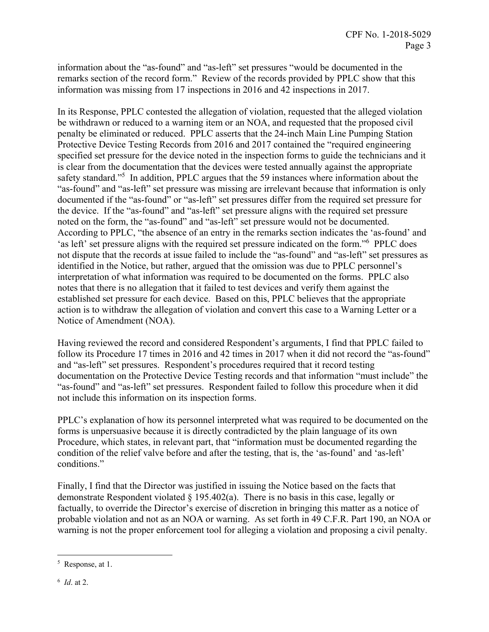information about the "as-found" and "as-left" set pressures "would be documented in the remarks section of the record form." Review of the records provided by PPLC show that this information was missing from 17 inspections in 2016 and 42 inspections in 2017.

In its Response, PPLC contested the allegation of violation, requested that the alleged violation be withdrawn or reduced to a warning item or an NOA, and requested that the proposed civil penalty be eliminated or reduced. PPLC asserts that the 24-inch Main Line Pumping Station Protective Device Testing Records from 2016 and 2017 contained the "required engineering specified set pressure for the device noted in the inspection forms to guide the technicians and it is clear from the documentation that the devices were tested annually against the appropriate safety standard."<sup>5</sup> In addition, PPLC argues that the 59 instances where information about the "as-found" and "as-left" set pressure was missing are irrelevant because that information is only documented if the "as-found" or "as-left" set pressures differ from the required set pressure for the device. If the "as-found" and "as-left" set pressure aligns with the required set pressure noted on the form, the "as-found" and "as-left" set pressure would not be documented. According to PPLC, "the absence of an entry in the remarks section indicates the 'as-found' and 'as left' set pressure aligns with the required set pressure indicated on the form."6 PPLC does not dispute that the records at issue failed to include the "as-found" and "as-left" set pressures as identified in the Notice, but rather, argued that the omission was due to PPLC personnel's interpretation of what information was required to be documented on the forms. PPLC also notes that there is no allegation that it failed to test devices and verify them against the established set pressure for each device. Based on this, PPLC believes that the appropriate action is to withdraw the allegation of violation and convert this case to a Warning Letter or a Notice of Amendment (NOA).

Having reviewed the record and considered Respondent's arguments, I find that PPLC failed to follow its Procedure 17 times in 2016 and 42 times in 2017 when it did not record the "as-found" and "as-left" set pressures. Respondent's procedures required that it record testing documentation on the Protective Device Testing records and that information "must include" the "as-found" and "as-left" set pressures. Respondent failed to follow this procedure when it did not include this information on its inspection forms.

PPLC's explanation of how its personnel interpreted what was required to be documented on the forms is unpersuasive because it is directly contradicted by the plain language of its own Procedure, which states, in relevant part, that "information must be documented regarding the condition of the relief valve before and after the testing, that is, the 'as-found' and 'as-left' conditions."

Finally, I find that the Director was justified in issuing the Notice based on the facts that demonstrate Respondent violated  $\S$  195.402(a). There is no basis in this case, legally or factually, to override the Director's exercise of discretion in bringing this matter as a notice of probable violation and not as an NOA or warning. As set forth in 49 C.F.R. Part 190, an NOA or warning is not the proper enforcement tool for alleging a violation and proposing a civil penalty.

 $\overline{a}$ 

<sup>5</sup> Response, at 1.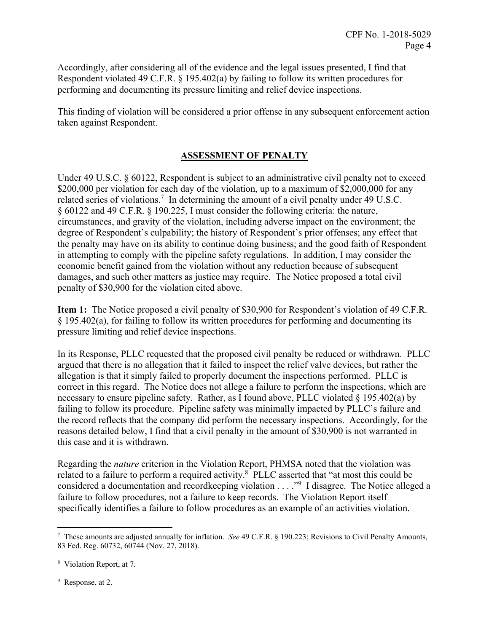Accordingly, after considering all of the evidence and the legal issues presented, I find that Respondent violated 49 C.F.R. § 195.402(a) by failing to follow its written procedures for performing and documenting its pressure limiting and relief device inspections.

This finding of violation will be considered a prior offense in any subsequent enforcement action taken against Respondent.

## **ASSESSMENT OF PENALTY**

Under 49 U.S.C. § 60122, Respondent is subject to an administrative civil penalty not to exceed \$200,000 per violation for each day of the violation, up to a maximum of \$2,000,000 for any related series of violations.<sup>7</sup> In determining the amount of a civil penalty under 49 U.S.C. § 60122 and 49 C.F.R. § 190.225, I must consider the following criteria: the nature, circumstances, and gravity of the violation, including adverse impact on the environment; the degree of Respondent's culpability; the history of Respondent's prior offenses; any effect that the penalty may have on its ability to continue doing business; and the good faith of Respondent in attempting to comply with the pipeline safety regulations. In addition, I may consider the economic benefit gained from the violation without any reduction because of subsequent damages, and such other matters as justice may require. The Notice proposed a total civil penalty of \$30,900 for the violation cited above.

**Item 1:** The Notice proposed a civil penalty of \$30,900 for Respondent's violation of 49 C.F.R. § 195.402(a), for failing to follow its written procedures for performing and documenting its pressure limiting and relief device inspections.

In its Response, PLLC requested that the proposed civil penalty be reduced or withdrawn. PLLC argued that there is no allegation that it failed to inspect the relief valve devices, but rather the allegation is that it simply failed to properly document the inspections performed. PLLC is correct in this regard. The Notice does not allege a failure to perform the inspections, which are necessary to ensure pipeline safety. Rather, as I found above, PLLC violated § 195.402(a) by failing to follow its procedure. Pipeline safety was minimally impacted by PLLC's failure and the record reflects that the company did perform the necessary inspections. Accordingly, for the reasons detailed below, I find that a civil penalty in the amount of \$30,900 is not warranted in this case and it is withdrawn.

Regarding the *nature* criterion in the Violation Report, PHMSA noted that the violation was related to a failure to perform a required activity.<sup>8</sup> PLLC asserted that "at most this could be considered a documentation and recordkeeping violation . . . ."9 I disagree. The Notice alleged a failure to follow procedures, not a failure to keep records. The Violation Report itself specifically identifies a failure to follow procedures as an example of an activities violation.

<sup>9</sup> Response, at 2.

1

<sup>7</sup> These amounts are adjusted annually for inflation. *See* 49 C.F.R. § 190.223; Revisions to Civil Penalty Amounts, 83 Fed. Reg. 60732, 60744 (Nov. 27, 2018).

<sup>8</sup> Violation Report, at 7.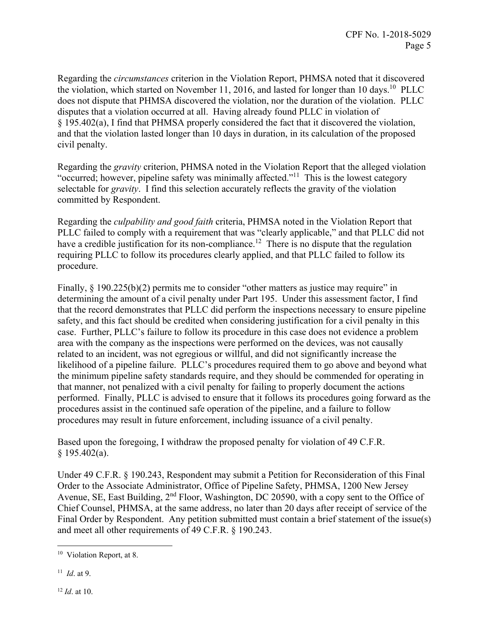Regarding the *circumstances* criterion in the Violation Report, PHMSA noted that it discovered the violation, which started on November 11, 2016, and lasted for longer than 10 days.<sup>10</sup> PLLC does not dispute that PHMSA discovered the violation, nor the duration of the violation. PLLC disputes that a violation occurred at all. Having already found PLLC in violation of § 195.402(a), I find that PHMSA properly considered the fact that it discovered the violation, and that the violation lasted longer than 10 days in duration, in its calculation of the proposed civil penalty.

Regarding the *gravity* criterion, PHMSA noted in the Violation Report that the alleged violation "occurred; however, pipeline safety was minimally affected."11 This is the lowest category selectable for *gravity*. I find this selection accurately reflects the gravity of the violation committed by Respondent.

Regarding the *culpability and good faith* criteria, PHMSA noted in the Violation Report that PLLC failed to comply with a requirement that was "clearly applicable," and that PLLC did not have a credible justification for its non-compliance.<sup>12</sup> There is no dispute that the regulation requiring PLLC to follow its procedures clearly applied, and that PLLC failed to follow its procedure.

Finally,  $\S$  190.225(b)(2) permits me to consider "other matters as justice may require" in determining the amount of a civil penalty under Part 195. Under this assessment factor, I find that the record demonstrates that PLLC did perform the inspections necessary to ensure pipeline safety, and this fact should be credited when considering justification for a civil penalty in this case. Further, PLLC's failure to follow its procedure in this case does not evidence a problem area with the company as the inspections were performed on the devices, was not causally related to an incident, was not egregious or willful, and did not significantly increase the likelihood of a pipeline failure. PLLC's procedures required them to go above and beyond what the minimum pipeline safety standards require, and they should be commended for operating in that manner, not penalized with a civil penalty for failing to properly document the actions performed. Finally, PLLC is advised to ensure that it follows its procedures going forward as the procedures assist in the continued safe operation of the pipeline, and a failure to follow procedures may result in future enforcement, including issuance of a civil penalty.

Based upon the foregoing, I withdraw the proposed penalty for violation of 49 C.F.R.  $§$  195.402(a).

Under 49 C.F.R. § 190.243, Respondent may submit a Petition for Reconsideration of this Final Order to the Associate Administrator, Office of Pipeline Safety, PHMSA, 1200 New Jersey Avenue, SE, East Building, 2<sup>nd</sup> Floor, Washington, DC 20590, with a copy sent to the Office of Chief Counsel, PHMSA, at the same address, no later than 20 days after receipt of service of the Final Order by Respondent. Any petition submitted must contain a brief statement of the issue(s) and meet all other requirements of 49 C.F.R. § 190.243.

 $\overline{a}$ <sup>10</sup> Violation Report, at 8.

 <sup>11</sup>*Id*. at 9.